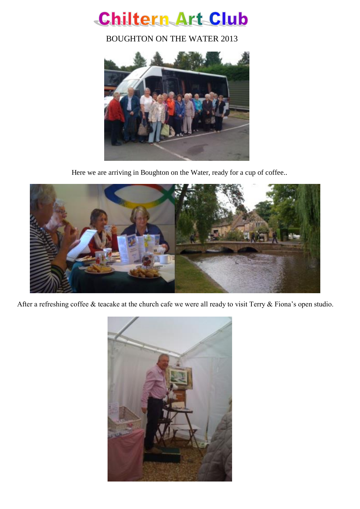

BOUGHTON ON THE WATER 2013



Here we are arriving in Boughton on the Water, ready for a cup of coffee..



After a refreshing coffee & teacake at the church cafe we were all ready to visit Terry & Fiona's open studio.

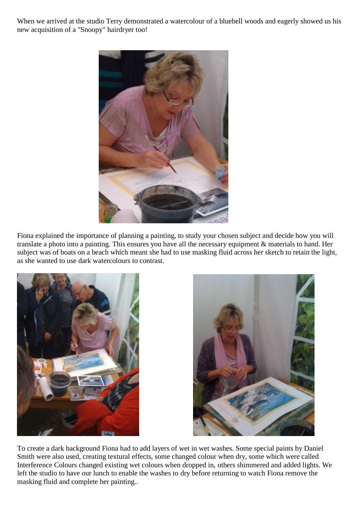When we arrived at the studio Terry demonstrated a watercolour of a bluebell woods and eagerly showed us his new acquisition of a "Snoopy" hairdryer too!



Fiona explained the importance of planning a painting, to study your chosen subject and decide how you will translate a photo into a painting. This ensures you have all the necessary equipment & materials to hand. Her subject was of boats on a beach which meant she had to use masking fluid across her sketch to retain the light, as she wanted to use dark watercolours to contrast.





To create a dark background Fiona had to add layers of wet in wet washes. Some special paints by Daniel Smith were also used, creating textural effects, some changed colour when dry, some which were called Interference Colours changed existing wet colours when dropped in, others shimmered and added lights. We left the studio to have our lunch to enable the washes to dry before returning to watch Fiona remove the masking fluid and complete her painting..